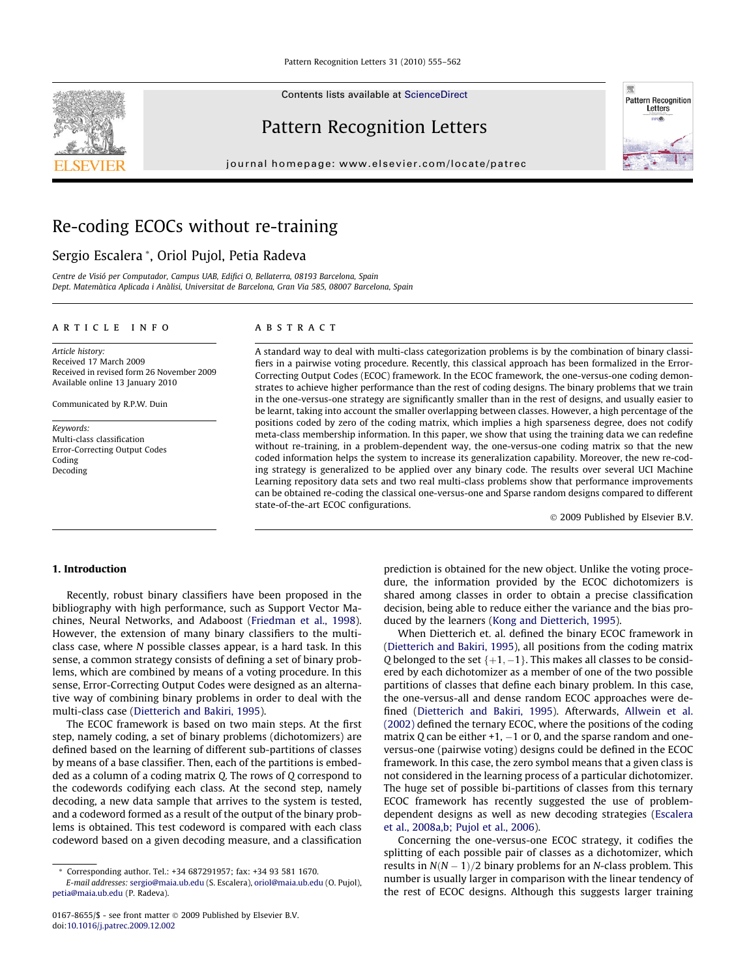Contents lists available at [ScienceDirect](http://www.sciencedirect.com/science/journal/01678655)

# Pattern Recognition Letters

journal homepage: [www.elsevier.com/locate/patrec](http://www.elsevier.com/locate/patrec)



# Re-coding ECOCs without re-training

## Sergio Escalera \*, Oriol Pujol, Petia Radeva

Centre de Visió per Computador, Campus UAB, Edifici O, Bellaterra, 08193 Barcelona, Spain Dept. Matemàtica Aplicada i Anàlisi, Universitat de Barcelona, Gran Via 585, 08007 Barcelona, Spain

### article info

Article history: Received 17 March 2009 Received in revised form 26 November 2009 Available online 13 January 2010

Communicated by R.P.W. Duin

Keywords: Multi-class classification Error-Correcting Output Codes Coding Decoding

## **ABSTRACT**

A standard way to deal with multi-class categorization problems is by the combination of binary classifiers in a pairwise voting procedure. Recently, this classical approach has been formalized in the Error-Correcting Output Codes (ECOC) framework. In the ECOC framework, the one-versus-one coding demonstrates to achieve higher performance than the rest of coding designs. The binary problems that we train in the one-versus-one strategy are significantly smaller than in the rest of designs, and usually easier to be learnt, taking into account the smaller overlapping between classes. However, a high percentage of the positions coded by zero of the coding matrix, which implies a high sparseness degree, does not codify meta-class membership information. In this paper, we show that using the training data we can redefine without re-training, in a problem-dependent way, the one-versus-one coding matrix so that the new coded information helps the system to increase its generalization capability. Moreover, the new re-coding strategy is generalized to be applied over any binary code. The results over several UCI Machine Learning repository data sets and two real multi-class problems show that performance improvements can be obtained re-coding the classical one-versus-one and Sparse random designs compared to different state-of-the-art ECOC configurations.

© 2009 Published by Elsevier B.V.

#### 1. Introduction

Recently, robust binary classifiers have been proposed in the bibliography with high performance, such as Support Vector Machines, Neural Networks, and Adaboost [\(Friedman et al., 1998\)](#page-7-0). However, the extension of many binary classifiers to the multiclass case, where N possible classes appear, is a hard task. In this sense, a common strategy consists of defining a set of binary problems, which are combined by means of a voting procedure. In this sense, Error-Correcting Output Codes were designed as an alternative way of combining binary problems in order to deal with the multi-class case ([Dietterich and Bakiri, 1995](#page-7-0)).

The ECOC framework is based on two main steps. At the first step, namely coding, a set of binary problems (dichotomizers) are defined based on the learning of different sub-partitions of classes by means of a base classifier. Then, each of the partitions is embedded as a column of a coding matrix Q. The rows of Q correspond to the codewords codifying each class. At the second step, namely decoding, a new data sample that arrives to the system is tested, and a codeword formed as a result of the output of the binary problems is obtained. This test codeword is compared with each class codeword based on a given decoding measure, and a classification

prediction is obtained for the new object. Unlike the voting procedure, the information provided by the ECOC dichotomizers is shared among classes in order to obtain a precise classification decision, being able to reduce either the variance and the bias produced by the learners ([Kong and Dietterich, 1995\)](#page-7-0).

When Dietterich et. al. defined the binary ECOC framework in ([Dietterich and Bakiri, 1995](#page-7-0)), all positions from the coding matrix Q belonged to the set  $\{+1, -1\}$ . This makes all classes to be considered by each dichotomizer as a member of one of the two possible partitions of classes that define each binary problem. In this case, the one-versus-all and dense random ECOC approaches were defined ([Dietterich and Bakiri, 1995\)](#page-7-0). Afterwards, [Allwein et al.](#page-7-0) [\(2002\)](#page-7-0) defined the ternary ECOC, where the positions of the coding matrix Q can be either +1,  $-1$  or 0, and the sparse random and oneversus-one (pairwise voting) designs could be defined in the ECOC framework. In this case, the zero symbol means that a given class is not considered in the learning process of a particular dichotomizer. The huge set of possible bi-partitions of classes from this ternary ECOC framework has recently suggested the use of problemdependent designs as well as new decoding strategies ([Escalera](#page-7-0) [et al., 2008a,b; Pujol et al., 2006\)](#page-7-0).

Concerning the one-versus-one ECOC strategy, it codifies the splitting of each possible pair of classes as a dichotomizer, which results in  $N(N-1)/2$  binary problems for an N-class problem. This number is usually larger in comparison with the linear tendency of the rest of ECOC designs. Although this suggests larger training

<sup>\*</sup> Corresponding author. Tel.: +34 687291957; fax: +34 93 581 1670.

E-mail addresses: [sergio@maia.ub.edu](mailto:sergio@maia.ub.edu) (S. Escalera), [oriol@maia.ub.edu](mailto:oriol@maia.ub.edu) (O. Pujol), [petia@maia.ub.edu](mailto:petia@maia.ub.edu) (P. Radeva).

<sup>0167-8655/\$ -</sup> see front matter © 2009 Published by Elsevier B.V. doi[:10.1016/j.patrec.2009.12.002](http://dx.doi.org/10.1016/j.patrec.2009.12.002)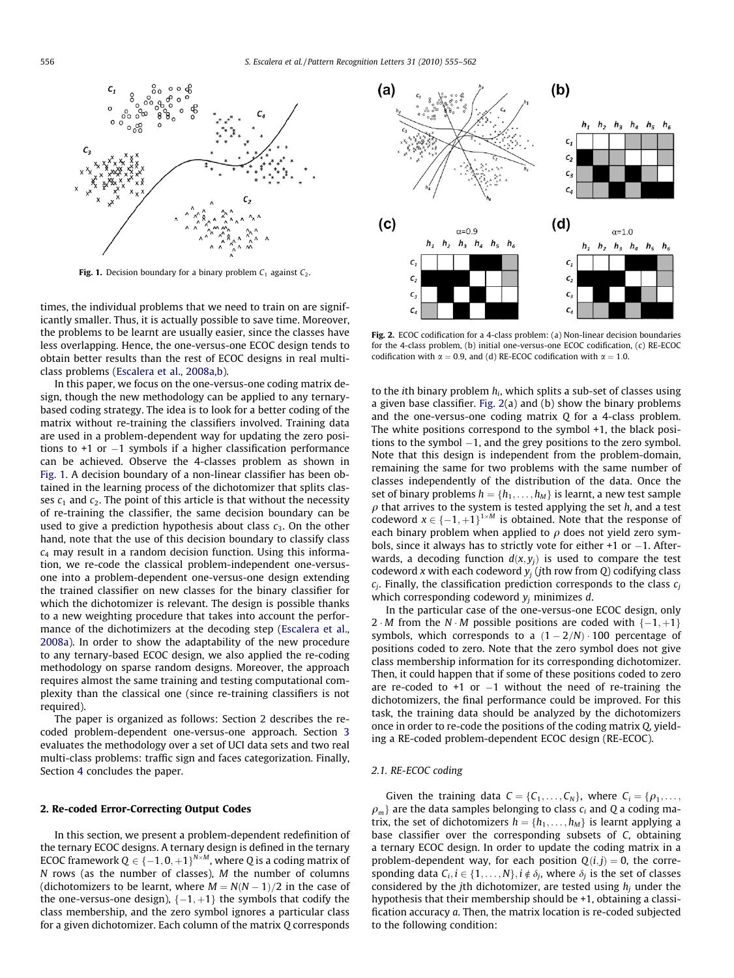<span id="page-1-0"></span>

Fig. 1. Decision boundary for a binary problem  $C_1$  against  $C_2$ .

times, the individual problems that we need to train on are significantly smaller. Thus, it is actually possible to save time. Moreover, the problems to be learnt are usually easier, since the classes have less overlapping. Hence, the one-versus-one ECOC design tends to obtain better results than the rest of ECOC designs in real multiclass problems ([Escalera et al., 2008a,b\)](#page-7-0).

In this paper, we focus on the one-versus-one coding matrix design, though the new methodology can be applied to any ternarybased coding strategy. The idea is to look for a better coding of the matrix without re-training the classifiers involved. Training data are used in a problem-dependent way for updating the zero positions to +1 or -1 symbols if a higher classification performance can be achieved. Observe the 4-classes problem as shown in Fig. 1. A decision boundary of a non-linear classifier has been obtained in the learning process of the dichotomizer that splits classes  $c_1$  and  $c_2$ . The point of this article is that without the necessity of re-training the classifier, the same decision boundary can be used to give a prediction hypothesis about class  $c_3$ . On the other hand, note that the use of this decision boundary to classify class  $c_4$  may result in a random decision function. Using this information, we re-code the classical problem-independent one-versusone into a problem-dependent one-versus-one design extending the trained classifier on new classes for the binary classifier for which the dichotomizer is relevant. The design is possible thanks to a new weighting procedure that takes into account the performance of the dichotimizers at the decoding step [\(Escalera et al.,](#page-7-0) [2008a\)](#page-7-0). In order to show the adaptability of the new procedure to any ternary-based ECOC design, we also applied the re-coding methodology on sparse random designs. Moreover, the approach requires almost the same training and testing computational complexity than the classical one (since re-training classifiers is not required).

The paper is organized as follows: Section 2 describes the recoded problem-dependent one-versus-one approach. Section [3](#page-2-0) evaluates the methodology over a set of UCI data sets and two real multi-class problems: traffic sign and faces categorization. Finally, Section [4](#page-7-0) concludes the paper.

#### 2. Re-coded Error-Correcting Output Codes

In this section, we present a problem-dependent redefinition of the ternary ECOC designs. A ternary design is defined in the ternary ECOC framework  $\mathcal{Q} \in \left\{-1,0,+1\right\}^{N \times M}$ , where  $\mathcal Q$  is a coding matrix of N rows (as the number of classes), M the number of columns (dichotomizers to be learnt, where  $M = N(N-1)/2$  in the case of the one-versus-one design),  $\{-1, +1\}$  the symbols that codify the class membership, and the zero symbol ignores a particular class for a given dichotomizer. Each column of the matrix Q corresponds



Fig. 2. ECOC codification for a 4-class problem: (a) Non-linear decision boundaries for the 4-class problem, (b) initial one-versus-one ECOC codification, (c) RE-ECOC codification with  $\alpha = 0.9$ , and (d) RE-ECOC codification with  $\alpha = 1.0$ .

to the ith binary problem  $h_i$ , which splits a sub-set of classes using a given base classifier. Fig. 2(a) and (b) show the binary problems and the one-versus-one coding matrix Q for a 4-class problem. The white positions correspond to the symbol +1, the black positions to the symbol  $-1$ , and the grey positions to the zero symbol. Note that this design is independent from the problem-domain, remaining the same for two problems with the same number of classes independently of the distribution of the data. Once the set of binary problems  $h = \{h_1, \ldots, h_M\}$  is learnt, a new test sample  $\rho$  that arrives to the system is tested applying the set h, and a test codeword  $x \in \{-1, +1\}^{1 \times M}$  is obtained. Note that the response of each binary problem when applied to  $\rho$  does not yield zero symbols, since it always has to strictly vote for either  $+1$  or  $-1$ . Afterwards, a decoding function  $d(x, y_i)$  is used to compare the test codeword x with each codeword  $y_i$  (jth row from Q) codifying class  $c_i$ . Finally, the classification prediction corresponds to the class  $c_i$ which corresponding codeword  $y_i$  minimizes d.

In the particular case of the one-versus-one ECOC design, only 2  $\cdot$  M from the N  $\cdot$  M possible positions are coded with  $\{-1, +1\}$ symbols, which corresponds to a  $(1 – 2/N) \cdot 100$  percentage of positions coded to zero. Note that the zero symbol does not give class membership information for its corresponding dichotomizer. Then, it could happen that if some of these positions coded to zero are re-coded to  $+1$  or  $-1$  without the need of re-training the dichotomizers, the final performance could be improved. For this task, the training data should be analyzed by the dichotomizers once in order to re-code the positions of the coding matrix Q, yielding a RE-coded problem-dependent ECOC design (RE-ECOC).

## 2.1. RE-ECOC coding

Given the training data  $C = \{C_1, \ldots, C_N\}$ , where  $C_i = \{\rho_1, \ldots, \rho_N\}$  $\rho_m$ } are the data samples belonging to class  $c_i$  and Q a coding matrix, the set of dichotomizers  $h = \{h_1, \ldots, h_M\}$  is learnt applying a base classifier over the corresponding subsets of C, obtaining a ternary ECOC design. In order to update the coding matrix in a problem-dependent way, for each position  $Q(i, j) = 0$ , the corresponding data  $C_i$ ,  $i \in \{1, ..., N\}$ ,  $i \notin \delta_j$ , where  $\delta_j$  is the set of classes considered by the *j*th dichotomizer, are tested using  $h_i$  under the hypothesis that their membership should be +1, obtaining a classification accuracy a. Then, the matrix location is re-coded subjected to the following condition: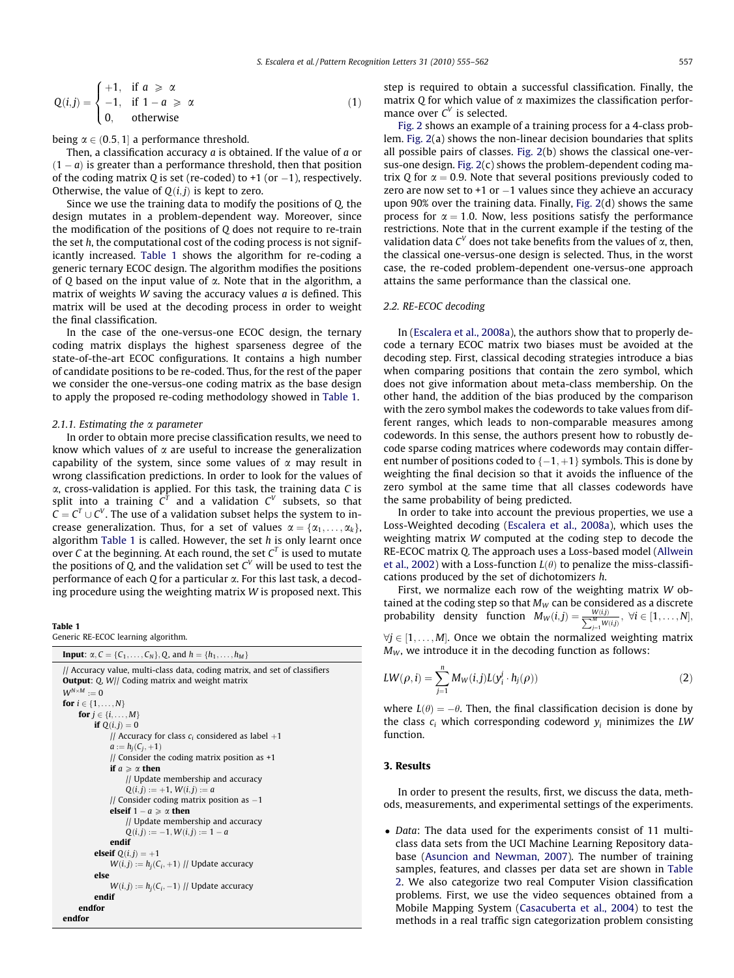<span id="page-2-0"></span>
$$
Q(i,j) = \begin{cases} +1, & \text{if } a \ge \alpha \\ -1, & \text{if } 1 - a \ge \alpha \\ 0, & \text{otherwise} \end{cases}
$$
(1)

being  $\alpha \in (0.5, 1]$  a performance threshold.

Then, a classification accuracy  $a$  is obtained. If the value of  $a$  or  $(1 - a)$  is greater than a performance threshold, then that position of the coding matrix Q is set (re-coded) to +1 (or  $-1$ ), respectively. Otherwise, the value of  $Q(i, j)$  is kept to zero.

Since we use the training data to modify the positions of Q, the design mutates in a problem-dependent way. Moreover, since the modification of the positions of Q does not require to re-train the set  $h$ , the computational cost of the coding process is not significantly increased. Table 1 shows the algorithm for re-coding a generic ternary ECOC design. The algorithm modifies the positions of O based on the input value of  $\alpha$ . Note that in the algorithm, a matrix of weights W saving the accuracy values a is defined. This matrix will be used at the decoding process in order to weight the final classification.

In the case of the one-versus-one ECOC design, the ternary coding matrix displays the highest sparseness degree of the state-of-the-art ECOC configurations. It contains a high number of candidate positions to be re-coded. Thus, for the rest of the paper we consider the one-versus-one coding matrix as the base design to apply the proposed re-coding methodology showed in Table 1.

### 2.1.1. Estimating the  $\alpha$  parameter

In order to obtain more precise classification results, we need to know which values of  $\alpha$  are useful to increase the generalization capability of the system, since some values of  $\alpha$  may result in wrong classification predictions. In order to look for the values of  $\alpha$ , cross-validation is applied. For this task, the training data C is split into a training  $C^T$  and a validation  $C^V$  subsets, so that  $\vec{C} = \vec{C}^T \cup \vec{C}^V$ . The use of a validation subset helps the system to increase generalization. Thus, for a set of values  $\alpha = {\alpha_1, \dots, \alpha_k}$ , algorithm Table 1 is called. However, the set  $h$  is only learnt once over C at the beginning. At each round, the set  $C<sup>T</sup>$  is used to mutate the positions of Q, and the validation set  $C^V$  will be used to test the performance of each Q for a particular  $\alpha$ . For this last task, a decoding procedure using the weighting matrix W is proposed next. This

### Table 1

Generic RE-ECOC learning algorithm.

**Input:**  $\alpha$ ,  $C = \{C_1, \ldots, C_N\}$ , Q, and  $h = \{h_1, \ldots, h_M\}$ 

| // Accuracy value, multi-class data, coding matrix, and set of classifiers |
|----------------------------------------------------------------------------|
| <b>Output:</b> Q, W// Coding matrix and weight matrix                      |
| $W^{N\times M}$ : $= 0$                                                    |
| <b>for</b> $i \in \{1, , N\}$                                              |
| <b>for</b> $i \in \{i, , M\}$                                              |
| <b>if</b> $Q(i, j) = 0$                                                    |
| // Accuracy for class $c_i$ considered as label $+1$                       |
| $a := h_i(C_i, +1)$                                                        |
| // Consider the coding matrix position as $+1$                             |
| if $a \ge \alpha$ then                                                     |
| // Update membership and accuracy                                          |
| $Q(i, j) := +1, W(i, j) := a$                                              |
| // Consider coding matrix position as $-1$                                 |
| elseif $1 - a \ge \alpha$ then                                             |
| // Update membership and accuracy                                          |
| $Q(i, j) := -1, W(i, j) := 1 - a$                                          |
| endif                                                                      |
| elseif $Q(i, j) = +1$                                                      |
| $W(i, j) := h_i(C_i, +1)$ // Update accuracy                               |
| else                                                                       |
| $W(i, j) := h_i(C_i, -1)$ // Update accuracy                               |
| endif                                                                      |
| endfor                                                                     |
| endfor                                                                     |

step is required to obtain a successful classification. Finally, the matrix O for which value of  $\alpha$  maximizes the classification performance over  $C^V$  is selected.

[Fig. 2](#page-1-0) shows an example of a training process for a 4-class problem. [Fig. 2\(](#page-1-0)a) shows the non-linear decision boundaries that splits all possible pairs of classes. [Fig. 2\(](#page-1-0)b) shows the classical one-versus-one design. [Fig. 2](#page-1-0)(c) shows the problem-dependent coding matrix Q for  $\alpha = 0.9$ . Note that several positions previously coded to zero are now set to +1 or -1 values since they achieve an accuracy upon 90% over the training data. Finally, [Fig. 2](#page-1-0)(d) shows the same process for  $\alpha = 1.0$ . Now, less positions satisfy the performance restrictions. Note that in the current example if the testing of the validation data  $C^V$  does not take benefits from the values of  $\alpha$ , then, the classical one-versus-one design is selected. Thus, in the worst case, the re-coded problem-dependent one-versus-one approach attains the same performance than the classical one.

### 2.2. RE-ECOC decoding

In ([Escalera et al., 2008a\)](#page-7-0), the authors show that to properly decode a ternary ECOC matrix two biases must be avoided at the decoding step. First, classical decoding strategies introduce a bias when comparing positions that contain the zero symbol, which does not give information about meta-class membership. On the other hand, the addition of the bias produced by the comparison with the zero symbol makes the codewords to take values from different ranges, which leads to non-comparable measures among codewords. In this sense, the authors present how to robustly decode sparse coding matrices where codewords may contain different number of positions coded to  $\{-1, +1\}$  symbols. This is done by weighting the final decision so that it avoids the influence of the zero symbol at the same time that all classes codewords have the same probability of being predicted.

In order to take into account the previous properties, we use a Loss-Weighted decoding [\(Escalera et al., 2008a\)](#page-7-0), which uses the weighting matrix W computed at the coding step to decode the RE-ECOC matrix Q. The approach uses a Loss-based model ([Allwein](#page-7-0) [et al., 2002\)](#page-7-0) with a Loss-function  $L(\theta)$  to penalize the miss-classifications produced by the set of dichotomizers h.

First, we normalize each row of the weighting matrix W obtained at the coding step so that  $M_W$  can be considered as a discrete probability density function  $M_W(i,j) = \frac{W(i,j)}{\sum_{j=1}^M W(i,j)}, \ \forall i \in [1,\ldots,N].$  $\forall j \in [1, \ldots, M]$ . Once we obtain the normalized weighting matrix

 $M_W$ , we introduce it in the decoding function as follows:

$$
LW(\rho, i) = \sum_{j=1}^{n} M_W(i, j) L(y_i^j \cdot h_j(\rho))
$$
\n(2)

where  $L(\theta) = -\theta$ . Then, the final classification decision is done by the class  $c_i$  which corresponding codeword  $y_i$  minimizes the LW function.

### 3. Results

In order to present the results, first, we discuss the data, methods, measurements, and experimental settings of the experiments.

 Data: The data used for the experiments consist of 11 multiclass data sets from the UCI Machine Learning Repository database [\(Asuncion and Newman, 2007\)](#page-7-0). The number of training samples, features, and classes per data set are shown in [Table](#page-3-0) [2.](#page-3-0) We also categorize two real Computer Vision classification problems. First, we use the video sequences obtained from a Mobile Mapping System ([Casacuberta et al., 2004\)](#page-7-0) to test the methods in a real traffic sign categorization problem consisting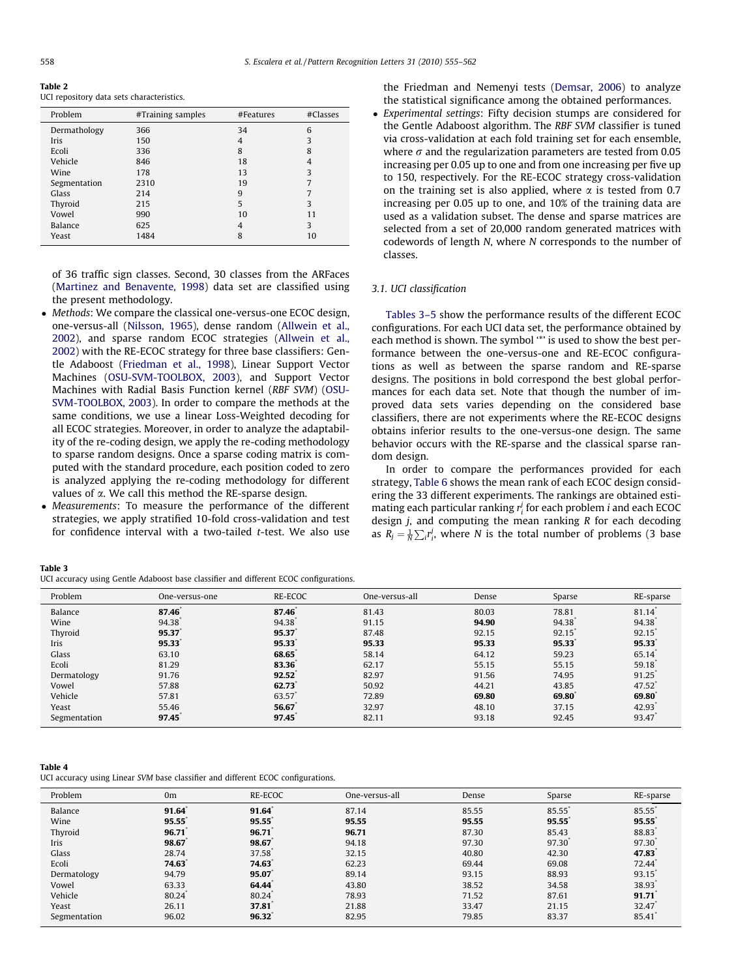#### <span id="page-3-0"></span>Table 2 UCI repository data sets characteristics.

| Problem      | #Training samples | #Features | #Classes |
|--------------|-------------------|-----------|----------|
| Dermathology | 366               | 34        | 6        |
| <b>Iris</b>  | 150               | 4         | 3        |
| Ecoli        | 336               | 8         | 8        |
| Vehicle      | 846               | 18        | 4        |
| Wine         | 178               | 13        | 3        |
| Segmentation | 2310              | 19        |          |
| Glass        | 214               | 9         |          |
| Thyroid      | 215               | 5         | 3        |
| Vowel        | 990               | 10        | 11       |
| Balance      | 625               | 4         | 3        |
| Yeast        | 1484              | 8         | 10       |

of 36 traffic sign classes. Second, 30 classes from the ARFaces [\(Martinez and Benavente, 1998\)](#page-7-0) data set are classified using the present methodology.

- Methods: We compare the classical one-versus-one ECOC design, one-versus-all [\(Nilsson, 1965](#page-7-0)), dense random ([Allwein et al.,](#page-7-0) [2002](#page-7-0)), and sparse random ECOC strategies [\(Allwein et al.,](#page-7-0) [2002](#page-7-0)) with the RE-ECOC strategy for three base classifiers: Gentle Adaboost ([Friedman et al., 1998\)](#page-7-0), Linear Support Vector Machines ([OSU-SVM-TOOLBOX, 2003\)](#page-7-0), and Support Vector Machines with Radial Basis Function kernel (RBF SVM) [\(OSU-](#page-7-0)[SVM-TOOLBOX, 2003](#page-7-0)). In order to compare the methods at the same conditions, we use a linear Loss-Weighted decoding for all ECOC strategies. Moreover, in order to analyze the adaptability of the re-coding design, we apply the re-coding methodology to sparse random designs. Once a sparse coding matrix is computed with the standard procedure, each position coded to zero is analyzed applying the re-coding methodology for different values of  $\alpha$ . We call this method the RE-sparse design.
- Measurements: To measure the performance of the different strategies, we apply stratified 10-fold cross-validation and test for confidence interval with a two-tailed t-test. We also use

#### Table 3

UCI accuracy using Gentle Adaboost base classifier and different ECOC configurations.

the Friedman and Nemenyi tests [\(Demsar, 2006\)](#page-7-0) to analyze the statistical significance among the obtained performances.

 Experimental settings: Fifty decision stumps are considered for the Gentle Adaboost algorithm. The RBF SVM classifier is tuned via cross-validation at each fold training set for each ensemble, where  $\sigma$  and the regularization parameters are tested from 0.05 increasing per 0.05 up to one and from one increasing per five up to 150, respectively. For the RE-ECOC strategy cross-validation on the training set is also applied, where  $\alpha$  is tested from 0.7 increasing per 0.05 up to one, and 10% of the training data are used as a validation subset. The dense and sparse matrices are selected from a set of 20,000 random generated matrices with codewords of length N, where N corresponds to the number of classes.

## 3.1. UCI classification

Tables 3–5 show the performance results of the different ECOC configurations. For each UCI data set, the performance obtained by each method is shown. The symbol '\*' is used to show the best performance between the one-versus-one and RE-ECOC configurations as well as between the sparse random and RE-sparse designs. The positions in bold correspond the best global performances for each data set. Note that though the number of improved data sets varies depending on the considered base classifiers, there are not experiments where the RE-ECOC designs obtains inferior results to the one-versus-one design. The same behavior occurs with the RE-sparse and the classical sparse random design.

In order to compare the performances provided for each strategy, [Table 6](#page-4-0) shows the mean rank of each ECOC design considering the 33 different experiments. The rankings are obtained estimating each particular ranking  $r_i^j$  for each problem i and each ECOC design  $j$ , and computing the mean ranking  $R$  for each decoding as  $R_j = \frac{1}{N} \sum_i r_i^j$ , where N is the total number of problems (3 base

| Problem      | One-versus-one | RE-ECOC | One-versus-all | Dense | Sparse | RE-sparse    |
|--------------|----------------|---------|----------------|-------|--------|--------------|
| Balance      | 87.46          | 87.46   | 81.43          | 80.03 | 78.81  | 81.14        |
| Wine         | 94.38          | 94.38   | 91.15          | 94.90 | 94.38  | 94.38        |
| Thyroid      | 95.37          | 95.37   | 87.48          | 92.15 | 92.15  | 92.15        |
| Iris         | 95.33          | 95.33   | 95.33          | 95.33 | 95.33  | 95.33        |
| Glass        | 63.10          | 68.65   | 58.14          | 64.12 | 59.23  | 65.14        |
| Ecoli        | 81.29          | 83.36   | 62.17          | 55.15 | 55.15  | 59.18        |
| Dermatology  | 91.76          | 92.52   | 82.97          | 91.56 | 74.95  | 91.25        |
| Vowel        | 57.88          | 62.73   | 50.92          | 44.21 | 43.85  | 47.52        |
| Vehicle      | 57.81          | 63.57   | 72.89          | 69.80 | 69.80  | <b>69.80</b> |
| Yeast        | 55.46          | 56.67   | 32.97          | 48.10 | 37.15  | 42.93        |
| Segmentation | 97.45          | 97.45   | 82.11          | 93.18 | 92.45  | 93.47        |

#### Table 4

UCI accuracy using Linear SVM base classifier and different ECOC configurations.

| Problem      | 0 <sub>m</sub> | RE-ECOC | One-versus-all | Dense | Sparse      | RE-sparse |
|--------------|----------------|---------|----------------|-------|-------------|-----------|
| Balance      | 91.64          | 91.64   | 87.14          | 85.55 | 85.55       | 85.55     |
| Wine         | 95.55          | 95.55   | 95.55          | 95.55 | 95.55       | 95.55     |
| Thyroid      | 96.71          | 96.71   | 96.71          | 87.30 | 85.43       | 88.83     |
| Iris         | 98.67          | 98.67   | 94.18          | 97.30 | $97.30^{1}$ | 97.30     |
| Glass        | 28.74          | 37.58   | 32.15          | 40.80 | 42.30       | 47.83     |
| Ecoli        | 74.63          | 74.63   | 62.23          | 69.44 | 69.08       | 72.44     |
| Dermatology  | 94.79          | 95.07   | 89.14          | 93.15 | 88.93       | 93.15     |
| Vowel        | 63.33          | 64.44   | 43.80          | 38.52 | 34.58       | 38.93     |
| Vehicle      | 80.24          | 80.24   | 78.93          | 71.52 | 87.61       | 91.71     |
| Yeast        | 26.11          | 37.81   | 21.88          | 33.47 | 21.15       | 32.47     |
| Segmentation | 96.02          | 96.32   | 82.95          | 79.85 | 83.37       | 85.41     |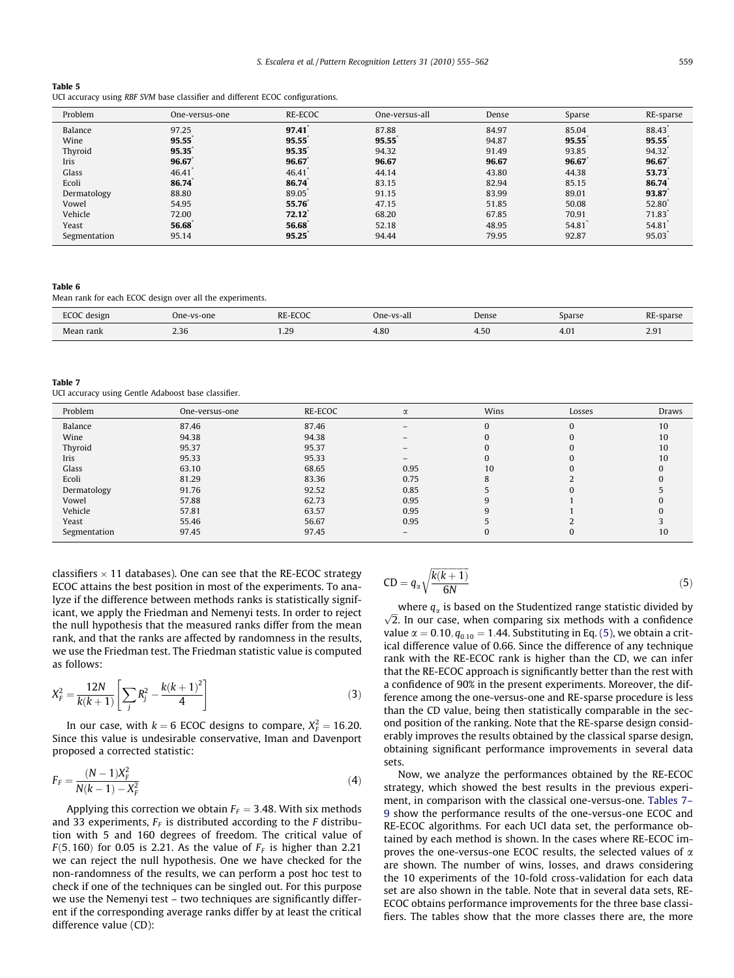#### <span id="page-4-0"></span>Table 5

UCI accuracy using RBF SVM base classifier and different ECOC configurations.

| Problem      | One-versus-one | RE-ECOC | One-versus-all | Dense | Sparse | RE-sparse |
|--------------|----------------|---------|----------------|-------|--------|-----------|
| Balance      | 97.25          | 97.41   | 87.88          | 84.97 | 85.04  | 88.43     |
| Wine         | 95.55          | 95.55   | 95.55          | 94.87 | 95.55  | 95.55     |
| Thyroid      | 95.35          | 95.35   | 94.32          | 91.49 | 93.85  | 94.32     |
| Iris         | 96.67          | 96.67   | 96.67          | 96.67 | 96.67  | 96.67     |
| Glass        | 46.41          | 46.41   | 44.14          | 43.80 | 44.38  | 53.73     |
| Ecoli        | 86.74          | 86.74   | 83.15          | 82.94 | 85.15  | 86.74     |
| Dermatology  | 88.80          | 89.05   | 91.15          | 83.99 | 89.01  | 93.87     |
| Vowel        | 54.95          | 55.76   | 47.15          | 51.85 | 50.08  | 52.80     |
| Vehicle      | 72.00          | 72.12   | 68.20          | 67.85 | 70.91  | 71.83     |
| Yeast        | 56.68          | 56.68   | 52.18          | 48.95 | 54.81  | 54.81     |
| Segmentation | 95.14          | 95.25   | 94.44          | 79.95 | 92.87  | 95.03     |

#### Table 6

Mean rank for each ECOC design over all the experiments.

| ECOC design | One-ys-one           | RE-ECOC     | One-vs-all | Dense | Sparse | RE-sparse |
|-------------|----------------------|-------------|------------|-------|--------|-----------|
| Mean rank   | 226<br>ں د.ء<br>____ | ົາດ<br>1.25 | 4.80       | 4.50  | 4.01   | 2.91      |

#### Table 7

UCI accuracy using Gentle Adaboost base classifier.

| Problem      | One-versus-one | RE-ECOC | α                        | Wins | Losses   | Draws |
|--------------|----------------|---------|--------------------------|------|----------|-------|
| Balance      | 87.46          | 87.46   | -                        |      | $\Omega$ | 10    |
| Wine         | 94.38          | 94.38   |                          |      | 0        | 10    |
| Thyroid      | 95.37          | 95.37   |                          |      | 0        | 10    |
| Iris         | 95.33          | 95.33   |                          |      | $\Omega$ | 10    |
| Glass        | 63.10          | 68.65   | 0.95                     | 10   |          |       |
| Ecoli        | 81.29          | 83.36   | 0.75                     | 8    |          |       |
| Dermatology  | 91.76          | 92.52   | 0.85                     |      | $\Omega$ |       |
| Vowel        | 57.88          | 62.73   | 0.95                     |      |          |       |
| Vehicle      | 57.81          | 63.57   | 0.95                     | q    |          |       |
| Yeast        | 55.46          | 56.67   | 0.95                     |      |          |       |
| Segmentation | 97.45          | 97.45   | $\overline{\phantom{0}}$ |      | $\Omega$ | 10    |

classifiers  $\times$  11 databases). One can see that the RE-ECOC strategy ECOC attains the best position in most of the experiments. To analyze if the difference between methods ranks is statistically significant, we apply the Friedman and Nemenyi tests. In order to reject the null hypothesis that the measured ranks differ from the mean rank, and that the ranks are affected by randomness in the results, we use the Friedman test. The Friedman statistic value is computed as follows:

$$
X_F^2 = \frac{12N}{k(k+1)} \left[ \sum_j R_j^2 - \frac{k(k+1)^2}{4} \right] \tag{3}
$$

In our case, with  $k = 6$  ECOC designs to compare,  $X_F^2 = 16.20$ . Since this value is undesirable conservative, Iman and Davenport proposed a corrected statistic:

$$
F_F = \frac{(N-1)X_F^2}{N(k-1) - X_F^2} \tag{4}
$$

Applying this correction we obtain  $F_F = 3.48$ . With six methods and 33 experiments,  $F_F$  is distributed according to the F distribution with 5 and 160 degrees of freedom. The critical value of  $F(5, 160)$  for 0.05 is 2.21. As the value of  $F_F$  is higher than 2.21 we can reject the null hypothesis. One we have checked for the non-randomness of the results, we can perform a post hoc test to check if one of the techniques can be singled out. For this purpose we use the Nemenyi test – two techniques are significantly different if the corresponding average ranks differ by at least the critical difference value (CD):

$$
CD = q_{\alpha} \sqrt{\frac{k(k+1)}{6N}} \tag{5}
$$

where  $q_{\alpha}$  is based on the Studentized range statistic divided by where  $q_{\alpha}$  is based on the studentized range statistic divided by  $\sqrt{2}$ . In our case, when comparing six methods with a confidence value  $\alpha = 0.10, q_{0.10} = 1.44$ . Substituting in Eq. (5), we obtain a critical difference value of 0.66. Since the difference of any technique rank with the RE-ECOC rank is higher than the CD, we can infer that the RE-ECOC approach is significantly better than the rest with a confidence of 90% in the present experiments. Moreover, the difference among the one-versus-one and RE-sparse procedure is less than the CD value, being then statistically comparable in the second position of the ranking. Note that the RE-sparse design considerably improves the results obtained by the classical sparse design, obtaining significant performance improvements in several data sets.

Now, we analyze the performances obtained by the RE-ECOC strategy, which showed the best results in the previous experiment, in comparison with the classical one-versus-one. Tables 7– 9 show the performance results of the one-versus-one ECOC and RE-ECOC algorithms. For each UCI data set, the performance obtained by each method is shown. In the cases where RE-ECOC improves the one-versus-one ECOC results, the selected values of  $\alpha$ are shown. The number of wins, losses, and draws considering the 10 experiments of the 10-fold cross-validation for each data set are also shown in the table. Note that in several data sets, RE-ECOC obtains performance improvements for the three base classifiers. The tables show that the more classes there are, the more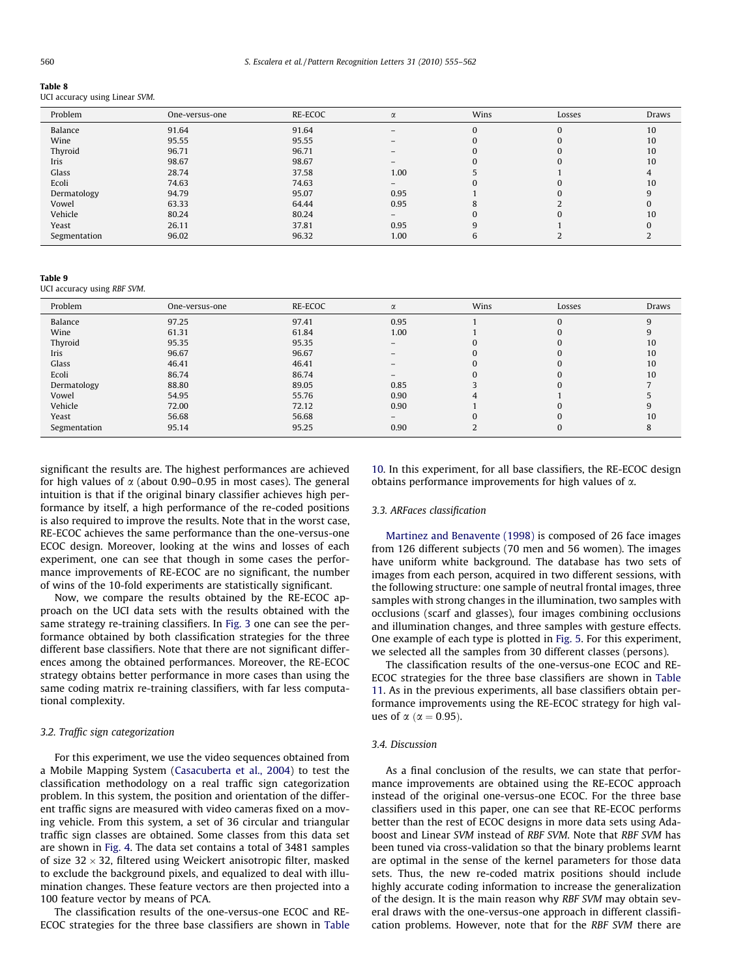|--|--|

UCI accuracy using Linear SVM.

| Problem      | One-versus-one | RE-ECOC | $\alpha$                 | Wins     | Losses | <b>Draws</b> |
|--------------|----------------|---------|--------------------------|----------|--------|--------------|
| Balance      | 91.64          | 91.64   |                          | $\Omega$ |        | 10           |
| Wine         | 95.55          | 95.55   | -                        | O        |        | 10           |
| Thyroid      | 96.71          | 96.71   | $\overline{\phantom{m}}$ | $\Omega$ |        | 10           |
| Iris         | 98.67          | 98.67   | $\overline{\phantom{0}}$ | $\Omega$ |        | 10           |
| Glass        | 28.74          | 37.58   | 1.00                     |          |        |              |
| Ecoli        | 74.63          | 74.63   | $\overline{\phantom{0}}$ | $\Omega$ |        | 10           |
| Dermatology  | 94.79          | 95.07   | 0.95                     |          |        |              |
| Vowel        | 63.33          | 64.44   | 0.95                     | 8        |        |              |
| Vehicle      | 80.24          | 80.24   | $-$                      | $\Omega$ |        | 10           |
| Yeast        | 26.11          | 37.81   | 0.95                     | 9        |        |              |
| Segmentation | 96.02          | 96.32   | 1.00                     | 6        |        |              |

#### Table 9

UCI accuracy using RBF SVM.

| Problem      | One-versus-one | RE-ECOC | $\alpha$                 | Wins     | Losses   | Draws |
|--------------|----------------|---------|--------------------------|----------|----------|-------|
| Balance      | 97.25          | 97.41   | 0.95                     |          | $\Omega$ |       |
| Wine         | 61.31          | 61.84   | 1.00                     |          | $\Omega$ |       |
| Thyroid      | 95.35          | 95.35   | -                        | $\Omega$ | $\Omega$ | 10    |
| Iris         | 96.67          | 96.67   | $\overline{\phantom{0}}$ | $\Omega$ | $\Omega$ | 10    |
| Glass        | 46.41          | 46.41   | $\overline{\phantom{0}}$ | $\Omega$ | $\Omega$ | 10    |
| Ecoli        | 86.74          | 86.74   | -                        | $\Omega$ | $\Omega$ | 10    |
| Dermatology  | 88.80          | 89.05   | 0.85                     |          | $\Omega$ |       |
| Vowel        | 54.95          | 55.76   | 0.90                     | 4        |          |       |
| Vehicle      | 72.00          | 72.12   | 0.90                     |          | $\Omega$ |       |
| Yeast        | 56.68          | 56.68   | -                        | $\Omega$ | $\Omega$ | 10    |
| Segmentation | 95.14          | 95.25   | 0.90                     |          | $\Omega$ |       |

significant the results are. The highest performances are achieved for high values of  $\alpha$  (about 0.90–0.95 in most cases). The general intuition is that if the original binary classifier achieves high performance by itself, a high performance of the re-coded positions is also required to improve the results. Note that in the worst case, RE-ECOC achieves the same performance than the one-versus-one ECOC design. Moreover, looking at the wins and losses of each experiment, one can see that though in some cases the performance improvements of RE-ECOC are no significant, the number of wins of the 10-fold experiments are statistically significant.

Now, we compare the results obtained by the RE-ECOC approach on the UCI data sets with the results obtained with the same strategy re-training classifiers. In [Fig. 3](#page-6-0) one can see the performance obtained by both classification strategies for the three different base classifiers. Note that there are not significant differences among the obtained performances. Moreover, the RE-ECOC strategy obtains better performance in more cases than using the same coding matrix re-training classifiers, with far less computational complexity.

## 3.2. Traffic sign categorization

For this experiment, we use the video sequences obtained from a Mobile Mapping System ([Casacuberta et al., 2004\)](#page-7-0) to test the classification methodology on a real traffic sign categorization problem. In this system, the position and orientation of the different traffic signs are measured with video cameras fixed on a moving vehicle. From this system, a set of 36 circular and triangular traffic sign classes are obtained. Some classes from this data set are shown in [Fig. 4.](#page-6-0) The data set contains a total of 3481 samples of size  $32 \times 32$ , filtered using Weickert anisotropic filter, masked to exclude the background pixels, and equalized to deal with illumination changes. These feature vectors are then projected into a 100 feature vector by means of PCA.

The classification results of the one-versus-one ECOC and RE-ECOC strategies for the three base classifiers are shown in [Table](#page-6-0) [10](#page-6-0). In this experiment, for all base classifiers, the RE-ECOC design obtains performance improvements for high values of  $\alpha$ .

#### 3.3. ARFaces classification

[Martinez and Benavente \(1998\)](#page-7-0) is composed of 26 face images from 126 different subjects (70 men and 56 women). The images have uniform white background. The database has two sets of images from each person, acquired in two different sessions, with the following structure: one sample of neutral frontal images, three samples with strong changes in the illumination, two samples with occlusions (scarf and glasses), four images combining occlusions and illumination changes, and three samples with gesture effects. One example of each type is plotted in [Fig. 5.](#page-6-0) For this experiment, we selected all the samples from 30 different classes (persons).

The classification results of the one-versus-one ECOC and RE-ECOC strategies for the three base classifiers are shown in [Table](#page-7-0) [11](#page-7-0). As in the previous experiments, all base classifiers obtain performance improvements using the RE-ECOC strategy for high values of  $\alpha$  ( $\alpha$  = 0.95).

## 3.4. Discussion

As a final conclusion of the results, we can state that performance improvements are obtained using the RE-ECOC approach instead of the original one-versus-one ECOC. For the three base classifiers used in this paper, one can see that RE-ECOC performs better than the rest of ECOC designs in more data sets using Adaboost and Linear SVM instead of RBF SVM. Note that RBF SVM has been tuned via cross-validation so that the binary problems learnt are optimal in the sense of the kernel parameters for those data sets. Thus, the new re-coded matrix positions should include highly accurate coding information to increase the generalization of the design. It is the main reason why RBF SVM may obtain several draws with the one-versus-one approach in different classification problems. However, note that for the RBF SVM there are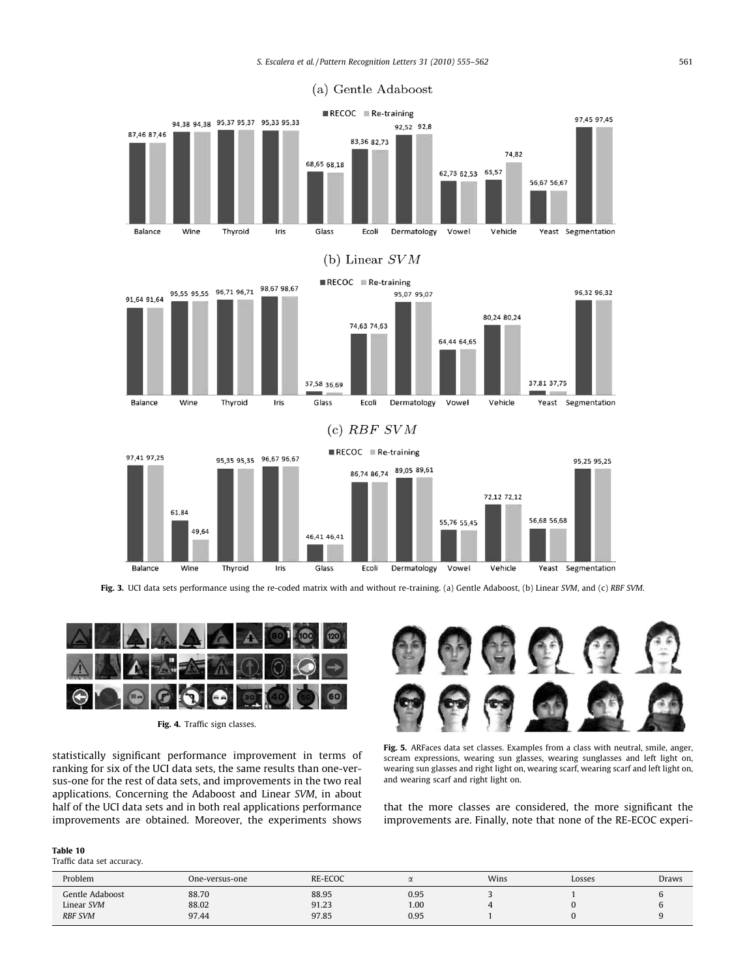<span id="page-6-0"></span>



Fig. 4. Traffic sign classes.

statistically significant performance improvement in terms of ranking for six of the UCI data sets, the same results than one-versus-one for the rest of data sets, and improvements in the two real applications. Concerning the Adaboost and Linear SVM, in about half of the UCI data sets and in both real applications performance improvements are obtained. Moreover, the experiments shows

## Table 10

Traffic data set accuracy.



Fig. 5. ARFaces data set classes. Examples from a class with neutral, smile, anger, scream expressions, wearing sun glasses, wearing sunglasses and left light on, wearing sun glasses and right light on, wearing scarf, wearing scarf and left light on, and wearing scarf and right light on.

that the more classes are considered, the more significant the improvements are. Finally, note that none of the RE-ECOC experi-

| Problem                                         | One-versus-one          | RE-ECOC                 |                      | Wins | Losses | Draws |
|-------------------------------------------------|-------------------------|-------------------------|----------------------|------|--------|-------|
| Gentle Adaboost<br>Linear SVM<br><b>RBF SVM</b> | 88.70<br>88.02<br>97.44 | 88.95<br>91.23<br>97.85 | 0.95<br>1.00<br>0.95 |      |        |       |